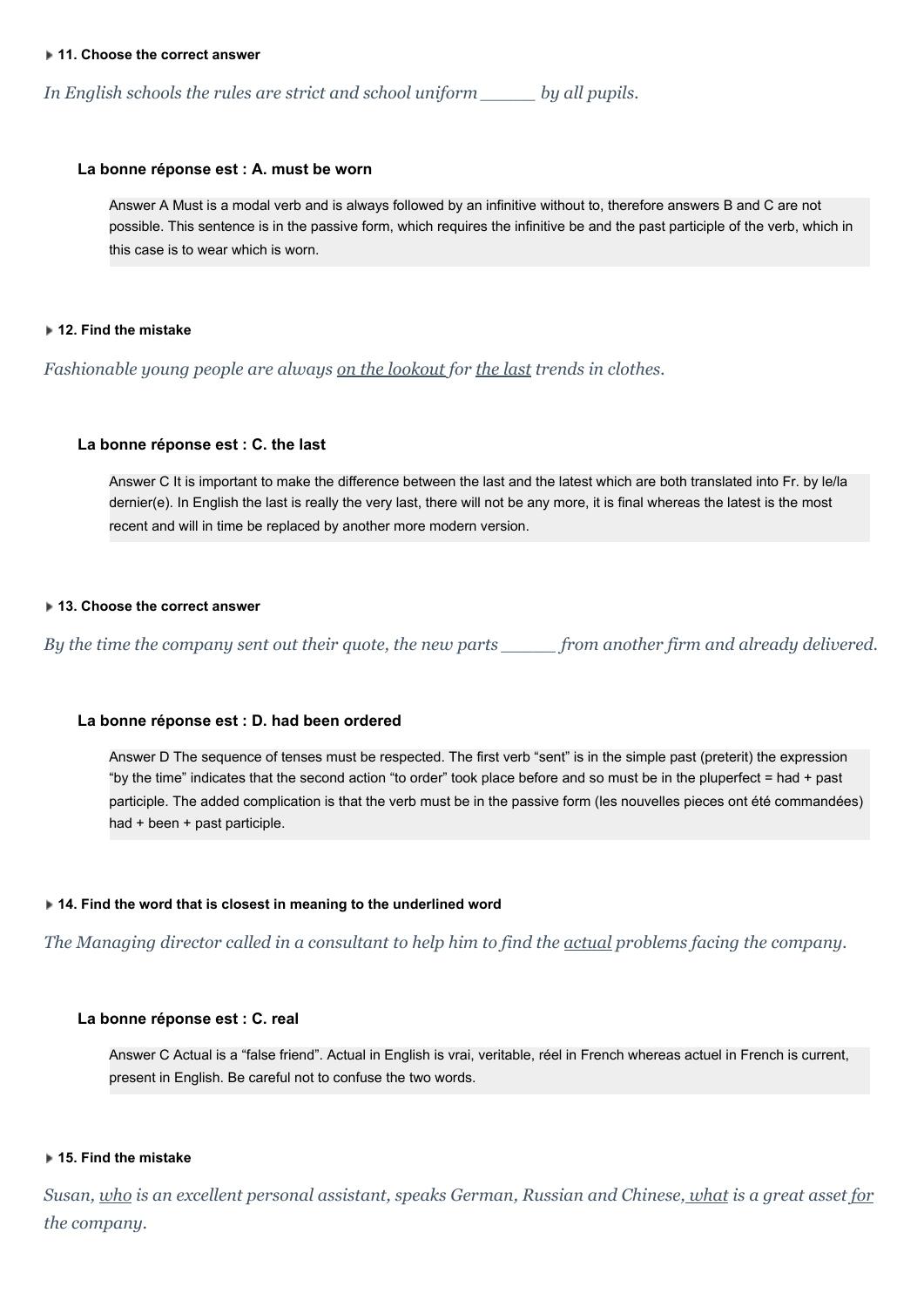### **11. Choose the correct answer**

*In English schools the rules are strict and school uniform \_\_\_\_\_ by all pupils.*

## **La bonne réponse est : A. must be worn**

Answer A Must is a modal verb and is always followed by an infinitive without to, therefore answers B and C are not possible. This sentence is in the passive form, which requires the infinitive be and the past participle of the verb, which in this case is to wear which is worn.

## **12. Find the mistake**

*Fashionable young people are always on the lookout for the last trends in clothes.*

# **La bonne réponse est : C. the last**

Answer C It is important to make the difference between the last and the latest which are both translated into Fr. by le/la dernier(e). In English the last is really the very last, there will not be any more, it is final whereas the latest is the most recent and will in time be replaced by another more modern version.

## **13. Choose the correct answer**

By the time the company sent out their quote, the new parts from another firm and already delivered.

## **La bonne réponse est : D. had been ordered**

Answer D The sequence of tenses must be respected. The first verb "sent" is in the simple past (preterit) the expression "by the time" indicates that the second action "to order" took place before and so must be in the pluperfect = had + past participle. The added complication is that the verb must be in the passive form (les nouvelles pieces ont été commandées) had + been + past participle.

## **14. Find the word that is closest in meaning to the underlined word**

The Managing director called in a consultant to help him to find the actual problems facing the company.

## **La bonne réponse est : C. real**

Answer C Actual is a "false friend". Actual in English is vrai, veritable, réel in French whereas actuel in French is current, present in English. Be careful not to confuse the two words.

## **15. Find the mistake**

Susan, who is an excellent personal assistant, speaks German, Russian and Chinese, what is a great asset for *the company.*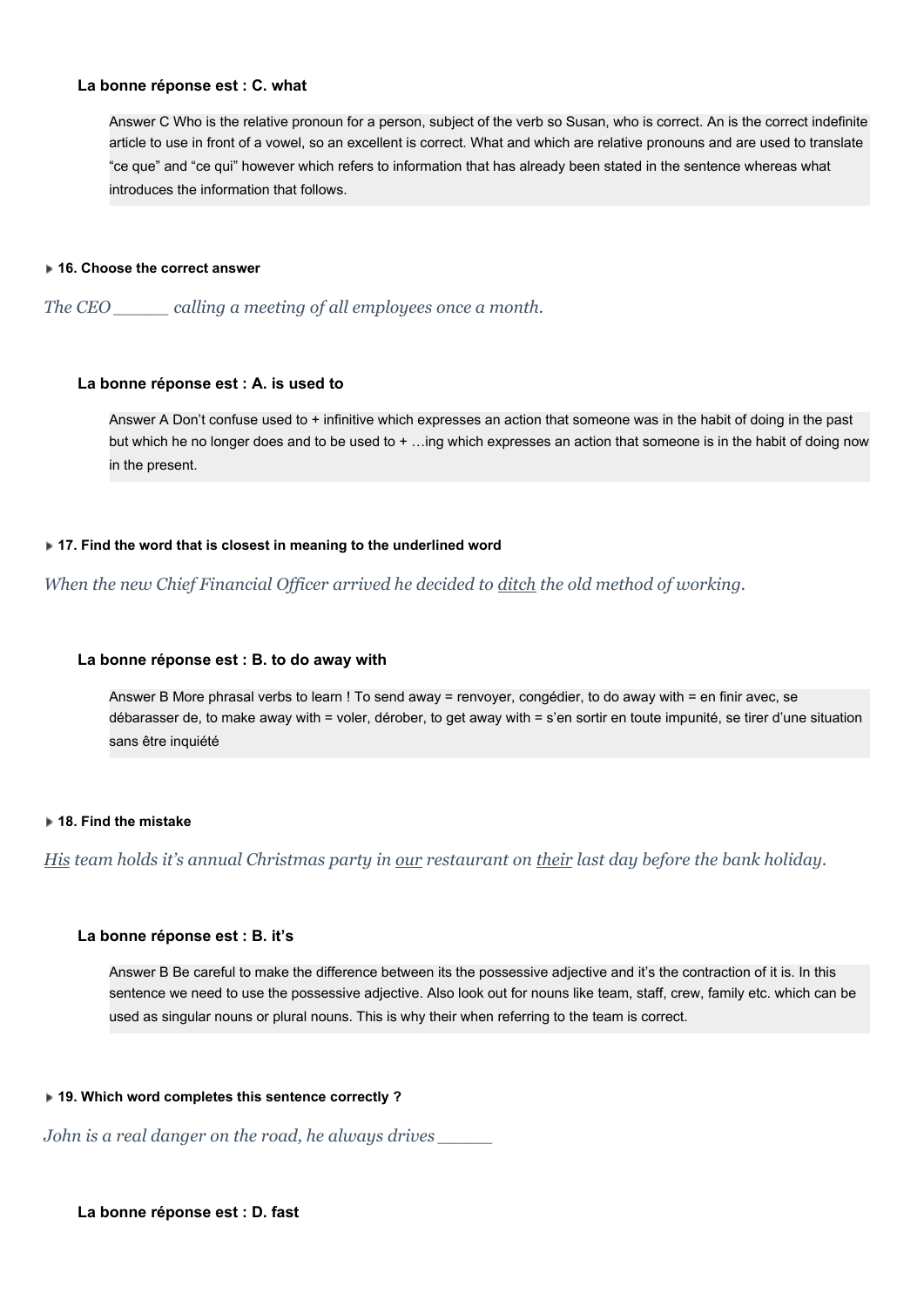# **La bonne réponse est : C. what**

Answer C Who is the relative pronoun for a person, subject of the verb so Susan, who is correct. An is the correct indefinite article to use in front of a vowel, so an excellent is correct. What and which are relative pronouns and are used to translate "ce que" and "ce qui" however which refers to information that has already been stated in the sentence whereas what introduces the information that follows.

## **16. Choose the correct answer**

*The CEO \_\_\_\_\_ calling a meeting of all employees once a month.*

## **La bonne réponse est : A. is used to**

Answer A Don't confuse used to + infinitive which expresses an action that someone was in the habit of doing in the past but which he no longer does and to be used to + …ing which expresses an action that someone is in the habit of doing now in the present.

# **17. Find the word that is closest in meaning to the underlined word**

*When the new Chief Financial Of icer arrived he decided to ditch the old method of working.*

## **La bonne réponse est : B. to do away with**

Answer B More phrasal verbs to learn ! To send away = renvoyer, congédier, to do away with = en finir avec, se débarasser de, to make away with = voler, dérober, to get away with = s'en sortir en toute impunité, se tirer d'une situation sans être inquiété

# **18. Find the mistake**

His team holds it's annual Christmas party in our restaurant on their last day before the bank holiday.

# **La bonne réponse est : B. it's**

Answer B Be careful to make the difference between its the possessive adjective and it's the contraction of it is. In this sentence we need to use the possessive adjective. Also look out for nouns like team, staff, crew, family etc. which can be used as singular nouns or plural nouns. This is why their when referring to the team is correct.

### **19. Which word completes this sentence correctly ?**

*John is a real danger on the road, he always drives \_\_\_\_\_*